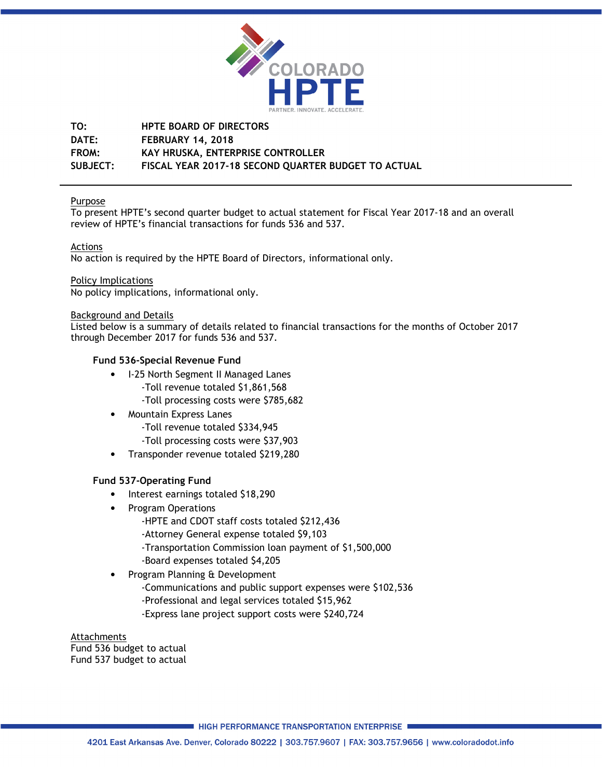

# **TO: HPTE BOARD OF DIRECTORS DATE: FEBRUARY 14, 2018 FROM: KAY HRUSKA, ENTERPRISE CONTROLLER SUBJECT: FISCAL YEAR 2017-18 SECOND QUARTER BUDGET TO ACTUAL**

## Purpose

To present HPTE's second quarter budget to actual statement for Fiscal Year 2017-18 and an overall review of HPTE's financial transactions for funds 536 and 537.

## Actions

No action is required by the HPTE Board of Directors, informational only.

## Policy Implications

No policy implications, informational only.

#### Background and Details

Listed below is a summary of details related to financial transactions for the months of October 2017 through December 2017 for funds 536 and 537.

## **Fund 536-Special Revenue Fund**

- I-25 North Segment II Managed Lanes -Toll revenue totaled \$1,861,568 -Toll processing costs were \$785,682
- Mountain Express Lanes
	- -Toll revenue totaled \$334,945
	- -Toll processing costs were \$37,903
- Transponder revenue totaled \$219,280

## **Fund 537-Operating Fund**

- Interest earnings totaled \$18,290
- Program Operations
	- -HPTE and CDOT staff costs totaled \$212,436
	- -Attorney General expense totaled \$9,103
	- -Transportation Commission loan payment of \$1,500,000
	- -Board expenses totaled \$4,205
- Program Planning & Development -Communications and public support expenses were \$102,536 -Professional and legal services totaled \$15,962 -Express lane project support costs were \$240,724

#### Attachments Fund 536 budget to actual Fund 537 budget to actual

■ HIGH PERFORMANCE TRANSPORTATION ENTERPRISE ■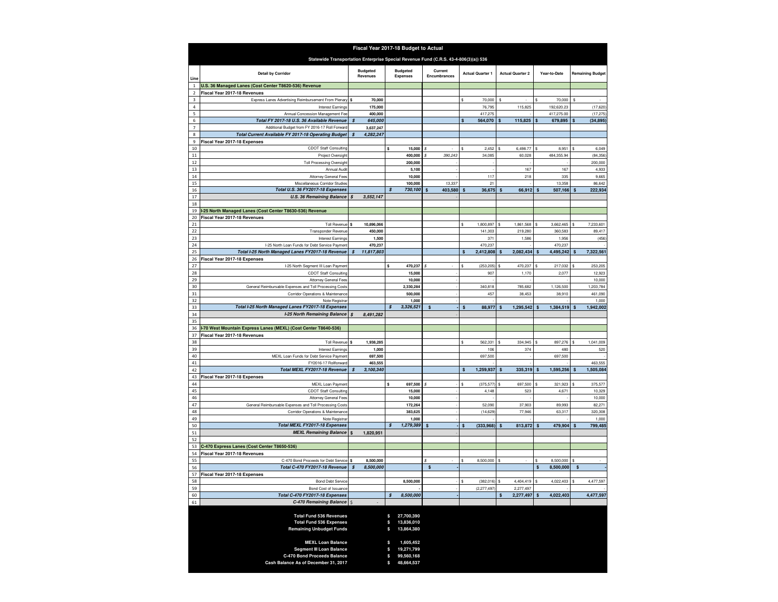| Fiscal Year 2017-18 Budget to Actual                                                 |                                                                                     |    |                                    |          |                                    |                         |                         |                  |                         |           |              |                      |    |                         |
|--------------------------------------------------------------------------------------|-------------------------------------------------------------------------------------|----|------------------------------------|----------|------------------------------------|-------------------------|-------------------------|------------------|-------------------------|-----------|--------------|----------------------|----|-------------------------|
| Statewide Transportation Enterprise Special Revenue Fund (C.R.S. 43-4-806(3)(a)) 536 |                                                                                     |    |                                    |          |                                    |                         |                         |                  |                         |           |              |                      |    |                         |
| Line                                                                                 | <b>Detail by Corridor</b>                                                           |    | <b>Budgeted</b><br><b>Revenues</b> |          | <b>Budgeted</b><br><b>Expenses</b> | Current<br>Encumbrances | <b>Actual Quarter 1</b> |                  | <b>Actual Quarter 2</b> |           | Year-to-Date |                      |    | <b>Remaining Budget</b> |
| $\mathbf{1}$                                                                         | U.S. 36 Managed Lanes (Cost Center T8620-536) Revenue                               |    |                                    |          |                                    |                         |                         |                  |                         |           |              |                      |    |                         |
|                                                                                      | Fiscal Year 2017-18 Revenues                                                        |    |                                    |          |                                    |                         |                         |                  |                         |           |              |                      |    |                         |
| 3<br>4                                                                               | Express Lanes Advertising Reimbursement From Plenary<br>Interest Earnings           |    | 70,000<br>175,000                  |          |                                    |                         |                         | 70,000<br>76,795 |                         | 115,825   |              | 70,000<br>192,620.23 |    | (17,620)                |
| 5                                                                                    | Annual Concession Management Fee                                                    |    | 400,000                            |          |                                    |                         |                         | 417,275          |                         |           |              | 417,275.00           |    | (17, 275)               |
| 6                                                                                    | Total FY 2017-18 U.S. 36 Available Revenue                                          | S  | 645,000                            |          |                                    |                         |                         | 564,070          |                         | 115,825   |              | 679,895              | \$ | (34, 895)               |
| $\overline{7}$                                                                       | Additional Budget from FY 2016-17 Roll Forward                                      |    | 3,637,247                          |          |                                    |                         |                         |                  |                         |           |              |                      |    |                         |
| 8<br>9                                                                               | Total Current Available FY 2017-18 Operating Budget<br>Fiscal Year 2017-18 Expenses |    | 4,282,247                          |          |                                    |                         |                         |                  |                         |           |              |                      |    |                         |
| 10                                                                                   | CDOT Staff Consulting                                                               |    |                                    |          | 15,000                             |                         |                         | 2,452            |                         | 6,498.77  |              | 8,951                |    | 6,049                   |
| $11\,$                                                                               | Project Oversight                                                                   |    |                                    |          | 400,000                            | 390,243                 |                         | 34,085           |                         | 60,028    |              | 484,355.94           |    | (84, 356)               |
| 12                                                                                   | <b>Toll Processing Oversight</b>                                                    |    |                                    |          | 200,000                            |                         |                         |                  |                         |           |              |                      |    | 200,000                 |
| 13                                                                                   | Annual Audit                                                                        |    |                                    |          | 5,100                              |                         |                         |                  |                         | 167       |              | 167                  |    | 4,933                   |
| 14<br>15                                                                             | Attorney General Fees<br>Miscellaneous Corridor Studies                             |    |                                    |          | 10,000<br>100,000                  | 13,337                  |                         | 117<br>21        |                         | 218       |              | 335<br>13,358        |    | 9,665<br>86,642         |
| 16                                                                                   | Total U.S. 36 FY2017-18 Expenses                                                    |    |                                    |          | 730,100                            | 403,580                 |                         | 36,675           |                         | 66,912    |              | 507,166              |    | 222,934                 |
| 17                                                                                   | <b>U.S. 36 Remaining Balance</b>                                                    | \$ | 3,552,147                          |          |                                    |                         |                         |                  |                         |           |              |                      |    |                         |
| 18                                                                                   |                                                                                     |    |                                    |          |                                    |                         |                         |                  |                         |           |              |                      |    |                         |
| 19                                                                                   | -25 North Managed Lanes (Cost Center T8630-536) Revenue                             |    |                                    |          |                                    |                         |                         |                  |                         |           |              |                      |    |                         |
| 20<br>21                                                                             | Fiscal Year 2017-18 Revenues<br>Toll Revenue                                        | Ś  | 10,896,066                         |          |                                    |                         |                         | 1,800,897        |                         | 1,861,568 |              | 3,662,465            |    | 7,233,601               |
| 22                                                                                   | Transponder Revenue                                                                 |    | 450,000                            |          |                                    |                         |                         | 141,303          |                         | 219,280   |              | 360,583              |    | 89,417                  |
| 23                                                                                   | <b>Interest Earnings</b>                                                            |    | 1,500                              |          |                                    |                         |                         | 371              |                         | 1,586     |              | 1,956                |    | (456)                   |
| 24                                                                                   | I-25 North Loan Funds for Debt Service Payment                                      |    | 470,237                            |          |                                    |                         |                         | 470,237          |                         |           |              | 470,237              |    |                         |
| 25                                                                                   | Total I-25 North Managed Lanes FY2017-18 Revenue<br>Fiscal Year 2017-18 Expenses    | \$ | 11,817,803                         |          |                                    |                         | \$                      | 2,412,808        |                         | 2,082,434 |              | 4,495,242            | S  | 7,322,561               |
| 26<br>27                                                                             | I-25 North Segment III Loan Payment                                                 |    |                                    |          | 470,237                            |                         | ŝ                       | (253, 205)       |                         | 470,237   |              | 217,032              |    | 253,205                 |
| 28                                                                                   | <b>CDOT Staff Consulting</b>                                                        |    |                                    |          | 15,000                             |                         |                         | 907              |                         | 1,170     |              | 2,077                |    | 12,923                  |
| 29                                                                                   | Attorney General Fees                                                               |    |                                    |          | 10,000                             |                         |                         |                  |                         |           |              |                      |    | 10,000                  |
| 30                                                                                   | General Reimbursable Expenses and Toll Processing Costs                             |    |                                    |          | 2,330,284                          |                         |                         | 340,818          |                         | 785,682   |              | 1,126,500            |    | 1,203,784               |
| 31                                                                                   | Corridor Operations & Maintenance                                                   |    |                                    |          | 500,000                            |                         |                         | 457              |                         | 38,453    |              | 38,910               |    | 461,090<br>1,000        |
| 32<br>33                                                                             | Note Registrar<br>Total I-25 North Managed Lanes FY2017-18 Expenses                 |    |                                    | S        | 1,000<br>3,326,521                 | S                       | \$                      | 88,977           |                         | 1,295,542 | \$           | 1,384,519            |    | 1,942,002               |
| 34                                                                                   | I-25 North Remaining Balance                                                        | S  | 8,491,282                          |          |                                    |                         |                         |                  |                         |           |              |                      |    |                         |
| 35                                                                                   |                                                                                     |    |                                    |          |                                    |                         |                         |                  |                         |           |              |                      |    |                         |
| 36                                                                                   | I-70 West Mountain Express Lanes (MEXL) (Cost Center T8640-536)                     |    |                                    |          |                                    |                         |                         |                  |                         |           |              |                      |    |                         |
| 37<br>38                                                                             | Fiscal Year 2017-18 Revenues<br>Toll Revenue                                        | Ś  | 1,938,285                          |          |                                    |                         |                         | 562,331          |                         | 334,945   |              | 897,276              |    | 1,041,009               |
| 39                                                                                   | Interest Earnings                                                                   |    | 1,000                              |          |                                    |                         |                         | 106              |                         | 374       |              | 480                  |    | 520                     |
| 40                                                                                   | MEXL Loan Funds for Debt Service Payment                                            |    | 697,500                            |          |                                    |                         |                         | 697,500          |                         |           |              | 697,500              |    |                         |
| 41                                                                                   | FY2016-17 Rollforward                                                               |    | 463,555                            |          |                                    |                         |                         |                  |                         |           |              |                      |    | 463,555                 |
| 42                                                                                   | Total MEXL FY2017-18 Revenue                                                        |    | 3,100,340                          |          |                                    |                         | S                       | 1,259,937        |                         | 335,319   |              | 1,595,256            |    | 1,505,084               |
| 43<br>44                                                                             | Fiscal Year 2017-18 Expenses<br>MEXL Loan Payment                                   |    |                                    |          | 697,500                            |                         |                         | (375, 577)       |                         | 697,500   |              | 321,923              |    | 375,577                 |
| 45                                                                                   | <b>CDOT Staff Consulting</b>                                                        |    |                                    |          | 15,000                             |                         |                         | 4,148            |                         | 523       |              | 4,671                |    | 10,329                  |
| 46                                                                                   | Attorney General Fees                                                               |    |                                    |          | 10,000                             |                         |                         |                  |                         |           |              |                      |    | 10,000                  |
| 47                                                                                   | General Reimbursable Expenses and Toll Processing Costs                             |    |                                    |          | 172,264                            |                         |                         | 52,090           |                         | 37,903    |              | 89,993               |    | 82,271                  |
| 48                                                                                   | Corridor Operations & Maintenance                                                   |    |                                    |          | 383,625                            |                         |                         | (14, 629)        |                         | 77,946    |              | 63,317               |    | 320,308                 |
| 49<br>50                                                                             | Note Registrar<br>Total MEXL FY2017-18 Expenses                                     |    |                                    | \$       | 1,000<br>1,279,389                 | S                       | \$                      | (333,968)        | S                       | 813,872   | \$           | 479,904              | \$ | 1,000<br>799,485        |
| 51                                                                                   | <b>MEXL Remaining Balance</b>                                                       | \$ | 1,820,951                          |          |                                    |                         |                         |                  |                         |           |              |                      |    |                         |
| 52                                                                                   |                                                                                     |    |                                    |          |                                    |                         |                         |                  |                         |           |              |                      |    |                         |
| 53                                                                                   | C-470 Express Lanes (Cost Center T8650-536)                                         |    |                                    |          |                                    |                         |                         |                  |                         |           |              |                      |    |                         |
| 54<br>55                                                                             | Fiscal Year 2017-18 Revenues<br>C-470 Bond Proceeds for Debt Service                |    | 8,500,000                          |          |                                    |                         |                         | 8,500,000        |                         |           |              | 8,500,000            |    |                         |
| 56                                                                                   | Total C-470 FY2017-18 Revenue                                                       |    | 8,500,000                          |          |                                    | \$                      |                         |                  |                         |           | \$           | 8,500,000            |    |                         |
| 57                                                                                   | Fiscal Year 2017-18 Expenses                                                        |    |                                    |          |                                    |                         |                         |                  |                         |           |              |                      |    |                         |
| 58                                                                                   | <b>Bond Debt Service</b>                                                            |    |                                    |          | 8,500,000                          |                         |                         | (382, 016)       |                         | 4,404,419 | s            | 4,022,403            | \$ | 4,477,597               |
| 59                                                                                   | Bond Cost of Issuance                                                               |    |                                    |          |                                    |                         |                         | (2, 277, 497)    |                         | 2,277,497 |              |                      |    |                         |
| 60<br>61                                                                             | Total C-470 FY2017-18 Expenses<br>C-470 Remaining Balance                           |    |                                    | \$       | 8,500,000                          |                         |                         |                  | \$                      | 2,277,497 | \$           | 4,022,403            |    | 4,477,597               |
|                                                                                      |                                                                                     |    |                                    |          |                                    |                         |                         |                  |                         |           |              |                      |    |                         |
|                                                                                      | <b>Total Fund 536 Revenues</b>                                                      |    |                                    | \$       | 27,700,390                         |                         |                         |                  |                         |           |              |                      |    |                         |
|                                                                                      | <b>Total Fund 536 Expenses</b><br><b>Remaining Unbudget Funds</b>                   |    |                                    | \$<br>\$ | 13,836,010<br>13,864,380           |                         |                         |                  |                         |           |              |                      |    |                         |
|                                                                                      |                                                                                     |    |                                    |          |                                    |                         |                         |                  |                         |           |              |                      |    |                         |
|                                                                                      | <b>MEXL Loan Balance</b>                                                            |    |                                    | \$       | 1,605,452                          |                         |                         |                  |                         |           |              |                      |    |                         |
|                                                                                      | <b>Segment III Loan Balance</b>                                                     |    |                                    | S        | 19,271,799                         |                         |                         |                  |                         |           |              |                      |    |                         |
|                                                                                      | C-470 Bond Proceeds Balance                                                         |    |                                    | \$       | 99,560,168                         |                         |                         |                  |                         |           |              |                      |    |                         |
|                                                                                      | Cash Balance As of December 31, 2017                                                |    |                                    | S        | 48,664,537                         |                         |                         |                  |                         |           |              |                      |    |                         |